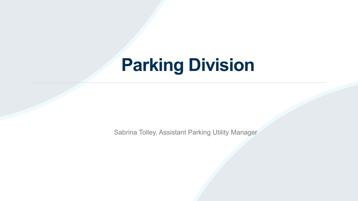# **Parking Division**

Sabrina Tolley, Assistant Parking Utility Manager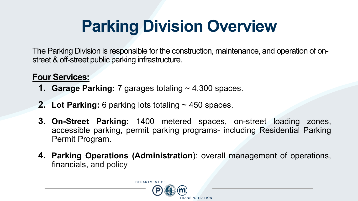# **Parking Division Overview**

The Parking Division is responsible for the construction, maintenance, and operation of onstreet & off-street public parking infrastructure.

#### **Four Services:**

- **1. Garage Parking:** 7 garages totaling ~ 4,300 spaces.
- **2. Lot Parking:** 6 parking lots totaling ~ 450 spaces.
- **3. On-Street Parking:** 1400 metered spaces, on-street loading zones, accessible parking, permit parking programs- including Residential Parking Permit Program.
- **4. Parking Operations (Administration**): overall management of operations, financials, and policy

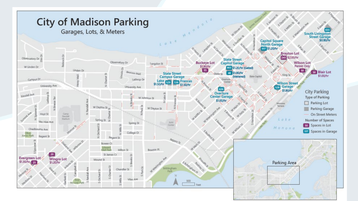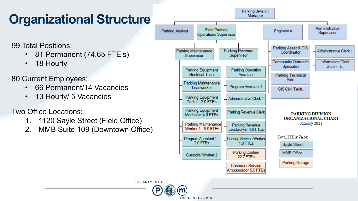#### **Organizational Structure**

99 Total Positions:

- 81 Permanent (74.65 FTE's)
- 18 Hourly

80 Current Employees:

- 66 Permanent/14 Vacancies
- 13 Hourly/ 5 Vacancies

#### Two Office Locations:

- 1. 1120 Sayle Street (Field Office)
- 2. MMB Suite 109 (Downtown Office)



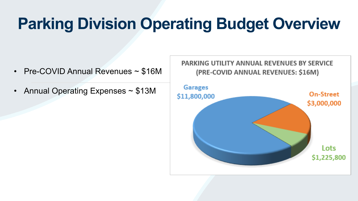# **Parking Division Operating Budget Overview**

- Pre-COVID Annual Revenues ~ \$16M
- Annual Operating Expenses ~ \$13M

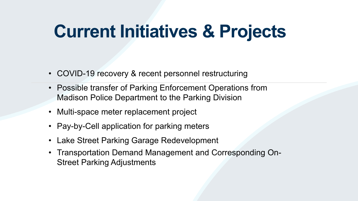# **Current Initiatives & Projects**

- COVID-19 recovery & recent personnel restructuring
- Possible transfer of Parking Enforcement Operations from Madison Police Department to the Parking Division
- Multi-space meter replacement project
- Pay-by-Cell application for parking meters
- Lake Street Parking Garage Redevelopment
- Transportation Demand Management and Corresponding On-Street Parking Adjustments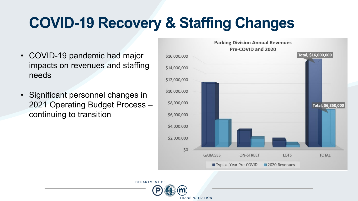## **COVID-19 Recovery & Staffing Changes**

- COVID-19 pandemic had major impacts on revenues and staffing needs
- Significant personnel changes in 2021 Operating Budget Process – continuing to transition



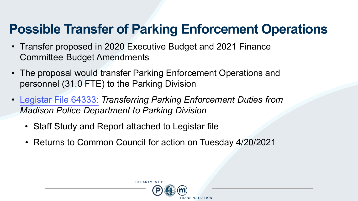#### **Possible Transfer of Parking Enforcement Operations**

- Transfer proposed in 2020 Executive Budget and 2021 Finance Committee Budget Amendments
- The proposal would transfer Parking Enforcement Operations and personnel (31.0 FTE) to the Parking Division
- Legistar [File 64333:](https://madison.legistar.com/LegislationDetail.aspx?ID=4807538&GUID=D5C03484-F8E4-4C82-B018-92B65D652EEA&Options=ID%7cText%7c&Search=64333) *Transferring Parking Enforcement Duties from Madison Police Department to Parking Division*
	- Staff Study and Report attached to Legistar file
	- Returns to Common Council for action on Tuesday 4/20/2021

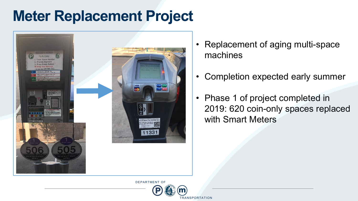## **Meter Replacement Project**



- Replacement of aging multi-space machines
- Completion expected early summer
- Phase 1 of project completed in 2019: 620 coin-only spaces replaced with Smart Meters

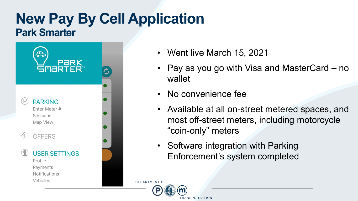#### **New Pay By Cell Application Park Smarter**



- Went live March 15, 2021
- Pay as you go with Visa and MasterCard no wallet
- No convenience fee
- Available at all on-street metered spaces, and most off-street meters, including motorcycle "coin-only" meters
- Software integration with Parking Enforcement's system completed

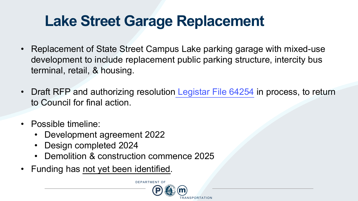## **Lake Street Garage Replacement**

- Replacement of State Street Campus Lake parking garage with mixed-use development to include replacement public parking structure, intercity bus terminal, retail, & housing.
- Draft RFP and authorizing resolution Legistar [File 64254](https://madison.legistar.com/LegislationDetail.aspx?ID=4901186&GUID=AA0655EA-5605-4444-AC6B-362F937B9C9D&Options=ID|Text|&Search=64254) in process, to return to Council for final action.
- Possible timeline:
	- Development agreement 2022
	- Design completed 2024
	- Demolition & construction commence 2025
- Funding has not yet been identified.